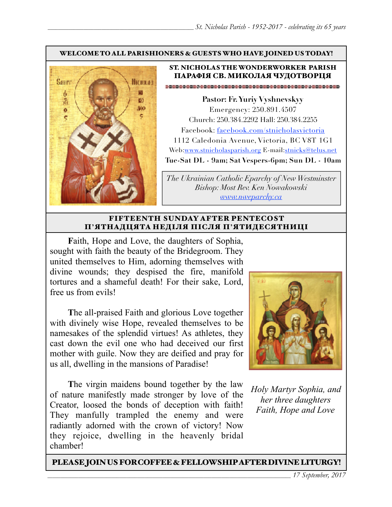#### WELCOME TO ALL PARISHIONERS & GUESTS WHO HAVE JOINED US TODAY!



#### ST. NICHOLAS THE WONDERWORKER PARISH ПАРАФІЯ СВ. МИКОЛАЯ ЧУДОТВОРЦЯ

**Pastor: Fr. Yuriy Vyshnevskyy** Emergency: 250.891.4507 Church: 250.384.2292 Hall: 250.384.2255 Facebook: facebook.com/stnicholasvictoria 1112 Caledonia Avenue, Victoria, BC V8T 1G1 Web[:www.stnicholasparish.org](http://www.stnicholasparish.org) E-mail:[stnicks@telus.net](mailto:stnicks@telus.net) **Tue-Sat DL - 9am; Sat Vespers-6pm; Sun DL - 10am**

*The Ukrainian Catholic Eparchy of New Westminster Bishop: Most Rev. Ken Nowakowski [www.nweparchy.ca](http://www.nweparchy.ca)*

#### FIFTEENTH SUNDAY AFTER PENTECOST П**'**ЯТНАДЦЯТА НЕДІЛЯ ПІСЛЯ П**'**ЯТИДЕСЯТНИЦІ

**F**aith, Hope and Love, the daughters of Sophia, sought with faith the beauty of the Bridegroom. They united themselves to Him, adorning themselves with divine wounds; they despised the fire, manifold tortures and a shameful death! For their sake, Lord, free us from evils!

**T**he all-praised Faith and glorious Love together with divinely wise Hope, revealed themselves to be namesakes of the splendid virtues! As athletes, they cast down the evil one who had deceived our first mother with guile. Now they are deified and pray for us all, dwelling in the mansions of Paradise!

**T**he virgin maidens bound together by the law of nature manifestly made stronger by love of the Creator, loosed the bonds of deception with faith! They manfully trampled the enemy and were radiantly adorned with the crown of victory! Now they rejoice, dwelling in the heavenly bridal chamber!



*Holy Martyr Sophia, and her three daughters Faith, Hope and Love*

PLEASE JOIN US FOR COFFEE & FELLOWSHIP AFTER DIVINE LITURGY!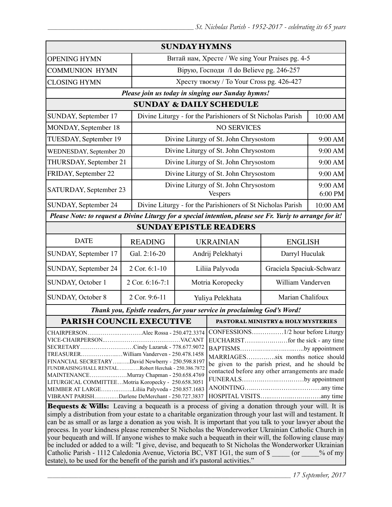| <b>SUNDAY HYMNS</b>                                                                                                                                                                                                                                                                                                                                                                                                                                                                                                                                                                                                                                                                 |                 |                                                             |                                     |                                    |                    |  |  |
|-------------------------------------------------------------------------------------------------------------------------------------------------------------------------------------------------------------------------------------------------------------------------------------------------------------------------------------------------------------------------------------------------------------------------------------------------------------------------------------------------------------------------------------------------------------------------------------------------------------------------------------------------------------------------------------|-----------------|-------------------------------------------------------------|-------------------------------------|------------------------------------|--------------------|--|--|
| <b>OPENING HYMN</b>                                                                                                                                                                                                                                                                                                                                                                                                                                                                                                                                                                                                                                                                 |                 | Витай нам, Хресте / We sing Your Praises pg. 4-5            |                                     |                                    |                    |  |  |
| <b>COMMUNION HYMN</b>                                                                                                                                                                                                                                                                                                                                                                                                                                                                                                                                                                                                                                                               |                 | Вірую, Господи /I do Believe pg. 246-257                    |                                     |                                    |                    |  |  |
| <b>CLOSING HYMN</b>                                                                                                                                                                                                                                                                                                                                                                                                                                                                                                                                                                                                                                                                 |                 | Хресту твоєму / To Your Cross pg. 426-427                   |                                     |                                    |                    |  |  |
| Please join us today in singing our Sunday hymns!                                                                                                                                                                                                                                                                                                                                                                                                                                                                                                                                                                                                                                   |                 |                                                             |                                     |                                    |                    |  |  |
| <b>SUNDAY &amp; DAILY SCHEDULE</b>                                                                                                                                                                                                                                                                                                                                                                                                                                                                                                                                                                                                                                                  |                 |                                                             |                                     |                                    |                    |  |  |
| SUNDAY, September 17                                                                                                                                                                                                                                                                                                                                                                                                                                                                                                                                                                                                                                                                |                 | Divine Liturgy - for the Parishioners of St Nicholas Parish |                                     |                                    | 10:00 AM           |  |  |
| MONDAY, September 18                                                                                                                                                                                                                                                                                                                                                                                                                                                                                                                                                                                                                                                                |                 | <b>NO SERVICES</b>                                          |                                     |                                    |                    |  |  |
| TUESDAY, September 19                                                                                                                                                                                                                                                                                                                                                                                                                                                                                                                                                                                                                                                               |                 | Divine Liturgy of St. John Chrysostom                       |                                     |                                    | 9:00 AM            |  |  |
| WEDNESDAY, September 20                                                                                                                                                                                                                                                                                                                                                                                                                                                                                                                                                                                                                                                             |                 | Divine Liturgy of St. John Chrysostom                       |                                     |                                    | 9:00 AM            |  |  |
| THURSDAY, September 21                                                                                                                                                                                                                                                                                                                                                                                                                                                                                                                                                                                                                                                              |                 | Divine Liturgy of St. John Chrysostom                       |                                     |                                    | 9:00 AM            |  |  |
| FRIDAY, September 22                                                                                                                                                                                                                                                                                                                                                                                                                                                                                                                                                                                                                                                                |                 | Divine Liturgy of St. John Chrysostom                       |                                     |                                    | 9:00 AM            |  |  |
| SATURDAY, September 23                                                                                                                                                                                                                                                                                                                                                                                                                                                                                                                                                                                                                                                              |                 | Divine Liturgy of St. John Chrysostom<br><b>Vespers</b>     |                                     |                                    | 9:00 AM<br>6:00 PM |  |  |
| SUNDAY, September 24                                                                                                                                                                                                                                                                                                                                                                                                                                                                                                                                                                                                                                                                |                 | Divine Liturgy - for the Parishioners of St Nicholas Parish |                                     |                                    | 10:00 AM           |  |  |
| Please Note: to request a Divine Liturgy for a special intention, please see Fr. Yuriy to arrange for it!                                                                                                                                                                                                                                                                                                                                                                                                                                                                                                                                                                           |                 |                                                             |                                     |                                    |                    |  |  |
| <b>SUNDAY EPISTLE READERS</b>                                                                                                                                                                                                                                                                                                                                                                                                                                                                                                                                                                                                                                                       |                 |                                                             |                                     |                                    |                    |  |  |
| <b>DATE</b>                                                                                                                                                                                                                                                                                                                                                                                                                                                                                                                                                                                                                                                                         | <b>READING</b>  |                                                             | <b>UKRAINIAN</b>                    | <b>ENGLISH</b>                     |                    |  |  |
| SUNDAY, September 17                                                                                                                                                                                                                                                                                                                                                                                                                                                                                                                                                                                                                                                                | Gal. 2:16-20    |                                                             | Andrij Pelekhatyi<br>Darryl Huculak |                                    |                    |  |  |
| SUNDAY, September 24                                                                                                                                                                                                                                                                                                                                                                                                                                                                                                                                                                                                                                                                | 2 Cor. 6:1-10   | Graciela Spaciuk-Schwarz<br>Liliia Palyvoda                 |                                     |                                    |                    |  |  |
| SUNDAY, October 1                                                                                                                                                                                                                                                                                                                                                                                                                                                                                                                                                                                                                                                                   | 2 Cor. 6:16-7:1 | Motria Koropecky                                            |                                     | William Vanderven                  |                    |  |  |
| <b>SUNDAY, October 8</b>                                                                                                                                                                                                                                                                                                                                                                                                                                                                                                                                                                                                                                                            | 2 Cor. 9:6-11   | Marian Chalifoux<br>Yuliya Pelekhata                        |                                     |                                    |                    |  |  |
| Thank you, Epistle readers, for your service in proclaiming God's Word!                                                                                                                                                                                                                                                                                                                                                                                                                                                                                                                                                                                                             |                 |                                                             |                                     |                                    |                    |  |  |
| PARISH COUNCIL EXECUTIVE                                                                                                                                                                                                                                                                                                                                                                                                                                                                                                                                                                                                                                                            |                 |                                                             |                                     | PASTORAL MINISTRY & HOLY MYSTERIES |                    |  |  |
| CHAIRPERSONAlec Rossa - 250.472.3374<br>CONFESSIONS1/2 hour before Liturgy<br>SECRETARYCindy Lazaruk - 778.677.9072<br>BAPTISMSby appointment<br>TREASURERWilliam Vanderven - 250.478.1458<br>MARRIAGESsix months notice should<br>FINANCIAL SECRETARYDavid Newberry - 250.598.8197<br>be given to the parish priest, and he should be<br>FUNDRAISING/HALL RENTALRobert Herchak - 250.386.7872<br>contacted before any other arrangements are made<br>MAINTENANCEMurray Chapman - 250.658.4769<br>FUNERALSby appointment<br>LITURGICAL COMMITTEEMotria Koropecky - 250.658.3051<br>MEMBER AT LARGELiliia Palyvoda - 250.857.1683<br>VIBRANT PARISHDarlene DeMerchant - 250.727.3837 |                 |                                                             |                                     |                                    |                    |  |  |
| Bequests & Wills: Leaving a bequeath is a process of giving a donation through your will. It is<br>a característica de la citatula de<br>$\overline{a}$ are $\overline{a}$ in the second correct least $\overline{a}$ . The state of $\overline{a}$                                                                                                                                                                                                                                                                                                                                                                                                                                 |                 |                                                             |                                     |                                    |                    |  |  |

simply a distribution from your estate to a charitable organization through your last will and testament. It can be as small or as large a donation as you wish. It is important that you talk to your lawyer about the process. In your kindness please remember St Nicholas the Wonderworker Ukrainian Catholic Church in your bequeath and will. If anyone wishes to make such a bequeath in their will, the following clause may be included or added to a will: "I give, devise, and bequeath to St Nicholas the Wonderworker Ukrainian Catholic Parish - 1112 Caledonia Avenue, Victoria BC, V8T 1G1, the sum of \$  $\qquad \qquad$  (or  $\qquad \qquad$  % of my estate), to be used for the benefit of the parish and it's pastoral activities."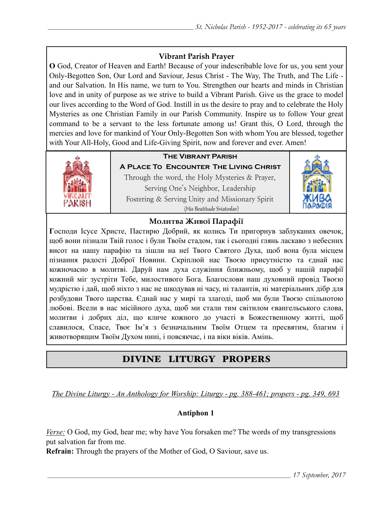## **Vibrant Parish Prayer**

**O** God, Creator of Heaven and Earth! Because of your indescribable love for us, you sent your Only-Begotten Son, Our Lord and Saviour, Jesus Christ - The Way, The Truth, and The Life and our Salvation. In His name, we turn to You. Strengthen our hearts and minds in Christian love and in unity of purpose as we strive to build a Vibrant Parish. Give us the grace to model our lives according to the Word of God. Instill in us the desire to pray and to celebrate the Holy Mysteries as one Christian Family in our Parish Community. Inspire us to follow Your great command to be a servant to the less fortunate among us! Grant this, O Lord, through the mercies and love for mankind of Your Only-Begotten Son with whom You are blessed, together with Your All-Holy, Good and Life-Giving Spirit, now and forever and ever. Amen!



# **The Vibrant Parish**

**A Place To Encounter The Living Christ** Through the word, the Holy Mysteries & Prayer, Serving One's Neighbor, Leadership Fostering & Serving Unity and Missionary Spirit (His Beatitude Sviatoslav)



## **Молитва Живої Парафії**

**Г**осподи Ісусе Христе, Пастирю Добрий, як колись Ти пригорнув заблуканих овечок, щоб вони пізнали Твій голос і були Твоїм стадом, так і сьогодні глянь ласкаво з небесних висот на нашу парафію та зішли на неї Твого Святого Духа, щоб вона була місцем пізнання радості Доброї Новини. Скріплюй нас Твоєю присутністю та єднай нас кожночасно в молитві. Даруй нам духа служіння ближньому, щоб у нашій парафії кожний міг зустріти Тебе, милостивого Бога. Благослови наш духовний провід Твоєю мудрістю і дай, щоб ніхто з нас не шкодував ні часу, ні талантів, ні матеріальних дібр для розбудови Твого царства. Єднай нас у мирі та злагоді, щоб ми були Твоєю спільнотою любові. Всели в нас місійного духа, щоб ми стали тим світилом євангельського слова, молитви і добрих діл, що кличе кожного до участі в Божественному житті, щоб славилося, Спасе, Твоє Ім'я з безначальним Твоїм Отцем та пресвятим, благим і животворящим Твоїм Духом нині, і повсякчас, і на віки віків. Амінь.

# DIVINE LITURGY PROPERS

*The Divine Liturgy - An Anthology for Worship: Liturgy - pg. 388-461; propers - pg. 349, 693* 

## **Antiphon 1**

*Verse:* O God, my God, hear me; why have You forsaken me? The words of my transgressions put salvation far from me.

**Refrain:** Through the prayers of the Mother of God, O Saviour, save us.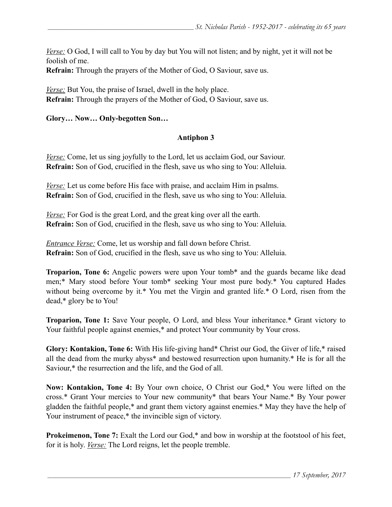*Verse:* O God, I will call to You by day but You will not listen; and by night, yet it will not be foolish of me.

**Refrain:** Through the prayers of the Mother of God, O Saviour, save us.

*Verse:* But You, the praise of Israel, dwell in the holy place. **Refrain:** Through the prayers of the Mother of God, O Saviour, save us.

#### **Glory… Now… Only-begotten Son…**

#### **Antiphon 3**

*Verse:* Come, let us sing joyfully to the Lord, let us acclaim God, our Saviour. **Refrain:** Son of God, crucified in the flesh, save us who sing to You: Alleluia.

*Verse:* Let us come before His face with praise, and acclaim Him in psalms. **Refrain:** Son of God, crucified in the flesh, save us who sing to You: Alleluia.

*Verse:* For God is the great Lord, and the great king over all the earth. **Refrain:** Son of God, crucified in the flesh, save us who sing to You: Alleluia.

*Entrance Verse:* Come, let us worship and fall down before Christ. **Refrain:** Son of God, crucified in the flesh, save us who sing to You: Alleluia.

**Troparion, Tone 6:** Angelic powers were upon Your tomb\* and the guards became like dead men;\* Mary stood before Your tomb\* seeking Your most pure body.\* You captured Hades without being overcome by it.\* You met the Virgin and granted life.\* O Lord, risen from the dead,\* glory be to You!

**Troparion, Tone 1:** Save Your people, O Lord, and bless Your inheritance.\* Grant victory to Your faithful people against enemies,<sup>\*</sup> and protect Your community by Your cross.

**Glory: Kontakion, Tone 6:** With His life-giving hand\* Christ our God, the Giver of life,\* raised all the dead from the murky abyss\* and bestowed resurrection upon humanity.\* He is for all the Saviour,\* the resurrection and the life, and the God of all.

**Now: Kontakion, Tone 4:** By Your own choice, O Christ our God,\* You were lifted on the cross.\* Grant Your mercies to Your new community\* that bears Your Name.\* By Your power gladden the faithful people,\* and grant them victory against enemies.\* May they have the help of Your instrument of peace,\* the invincible sign of victory.

**Prokeimenon, Tone 7:** Exalt the Lord our God,\* and bow in worship at the footstool of his feet, for it is holy. *Verse:* The Lord reigns, let the people tremble.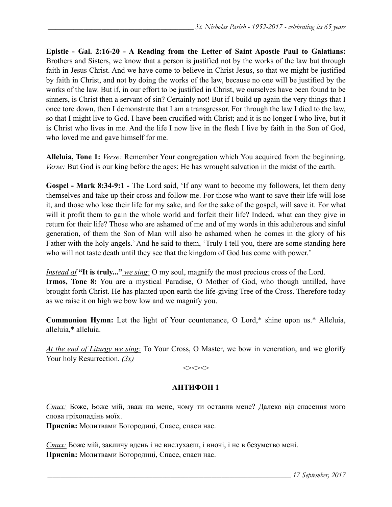**Epistle - Gal. 2:16-20 - A Reading from the Letter of Saint Apostle Paul to Galatians:**  Brothers and Sisters, we know that a person is justified not by the works of the law but through faith in Jesus Christ. And we have come to believe in Christ Jesus, so that we might be justified by faith in Christ, and not by doing the works of the law, because no one will be justified by the works of the law. But if, in our effort to be justified in Christ, we ourselves have been found to be sinners, is Christ then a servant of sin? Certainly not! But if I build up again the very things that I once tore down, then I demonstrate that I am a transgressor. For through the law I died to the law, so that I might live to God. I have been crucified with Christ; and it is no longer I who live, but it is Christ who lives in me. And the life I now live in the flesh I live by faith in the Son of God, who loved me and gave himself for me.

**Alleluia, Tone 1:** *Verse:* Remember Your congregation which You acquired from the beginning. *Verse:* But God is our king before the ages; He has wrought salvation in the midst of the earth.

**Gospel - Mark 8:34-9:1** *-* The Lord said, 'If any want to become my followers, let them deny themselves and take up their cross and follow me. For those who want to save their life will lose it, and those who lose their life for my sake, and for the sake of the gospel, will save it. For what will it profit them to gain the whole world and forfeit their life? Indeed, what can they give in return for their life? Those who are ashamed of me and of my words in this adulterous and sinful generation, of them the Son of Man will also be ashamed when he comes in the glory of his Father with the holy angels.' And he said to them, 'Truly I tell you, there are some standing here who will not taste death until they see that the kingdom of God has come with power.'

*Instead of* **"It is truly..."** *we sing:* O my soul, magnify the most precious cross of the Lord. **Irmos, Tone 8:** You are a mystical Paradise, O Mother of God, who though untilled, have brought forth Christ. He has planted upon earth the life-giving Tree of the Cross. Therefore today as we raise it on high we bow low and we magnify you.

**Communion Hymn:** Let the light of Your countenance, O Lord,\* shine upon us.\* Alleluia, alleluia,\* alleluia.

*At the end of Liturgy we sing:* To Your Cross, O Master, we bow in veneration, and we glorify Your holy Resurrection. *(3x)*

 $\iff$ 

## **АНТИФОН 1**

*Стих:* Боже, Боже мій, зваж на мене, чому ти оставив мене? Далеко від спасення мого слова гріхопадінь моїх.

**Приспів:** Молитвами Богородиці, Спасе, спаси нас.

*Стих:* Боже мій, закличу вдень і не вислухаєш, і вночі, і не в безумство мені. **Приспів:** Молитвами Богородиці, Спасе, спаси нас.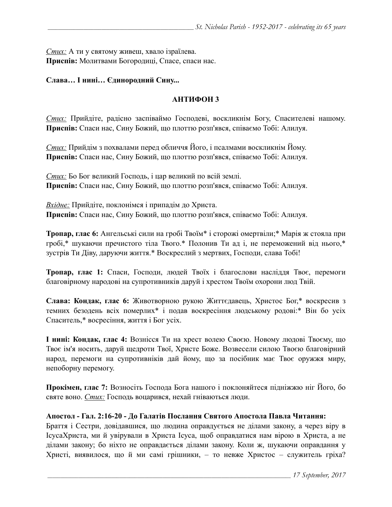*Стих:* А ти у святому живеш, хвало ізраїлева. **Приспів:** Молитвами Богородиці, Спасе, спаси нас.

#### **Слава… І нині… Єдинородний Сину...**

### **АНТИФОН 3**

*Стих:* Прийдіте, радісно заспіваймо Господеві, воскликнім Богу, Спасителеві нашому. **Приспів:** Спаси нас, Сину Божий, що плоттю розп'явся, співаємо Тобі: Алилуя.

*Стих:* Прийдім з похвалами перед обличчя Його, і псалмами воскликнім Йому. **Приспів:** Спаси нас, Сину Божий, що плоттю розп'явся, співаємо Тобі: Алилуя.

*Стих:* Бо Бог великий Господь, і цар великий по всій землі. **Приспів:** Спаси нас, Сину Божий, що плоттю розп'явся, співаємо Тобі: Алилуя.

*Вхідне:* Прийдіте, поклонімся і припадім до Христа. **Приспів:** Спаси нас, Сину Божий, що плоттю розп'явся, співаємо Тобі: Алилуя.

**Тропар, глас 6:** Ангельські сили на гробі Твоїм\* і сторожі омертвіли;\* Марія ж стояла при гробі,\* шукаючи пречистого тіла Твого.\* Полонив Ти ад і, не переможений від нього,\* зустрів Ти Діву, даруючи життя.\* Воскреслий з мертвих, Господи, слава Тобі!

**Тропар, глас 1:** Спаси, Господи, людей Твоїх і благослови насліддя Твоє, перемоги благовірному народові на супротивників даруй і хрестом Твоїм охорони люд Твій.

**Слава: Кондак, глас 6:** Животворною рукою Життєдавець, Христос Бог,\* воскресив з темних безодень всіх померлих\* і подав воскресіння людському родові:\* Він бо усіх Спаситель,\* восресіння, життя і Бог усіх.

**І нині: Кондак, глас 4:** Вознісся Ти на хрест волею Своєю. Новому людові Твоєму, що Твоє ім'я носить, даруй щедроти Твої, Христе Боже. Возвесели силою Твоєю благовірний народ, перемоги на супротивніків дай йому, що за посібник має Твоє оружжя миру, непоборну перемогу.

**Прокімен, глас 7:** Возносіть Господа Бога нашого і поклоняйтеся підніжжю ніг Його, бо святе воно. *Стих:* Господь воцарився, нехай гніваються люди.

#### **Апостол - Гал. 2:16-20 - До Галатів Послання Святого Апостола Павла Читання:**

Браття і Cестри, довідавшися, що людина оправдується не ділами закону, а через віру в ІсусаХриста, ми й увірували в Христа Ісуса, щоб оправдатися нам вірою в Христа, а не ділами закону; бо ніхто не оправдається ділами закону. Коли ж, шукаючи оправдання у Христі, виявилося, що й ми самі грішники, – то невже Христос – служитель гріха?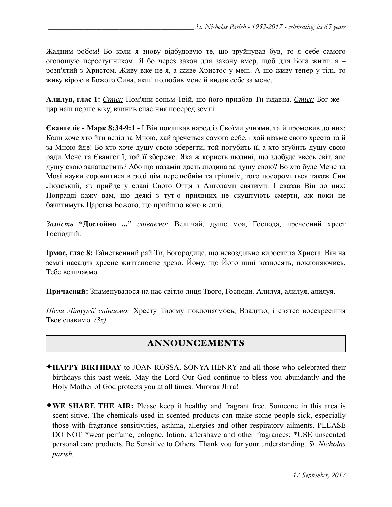Жадним робом! Бо коли я знову відбудовую те, що зруйнував був, то я себе самого оголошую переступником. Я бо через закон для закону вмер, щоб для Бога жити: я – розп'ятий з Христом. Живу вже не я, а живе Христос у мені. А що живу тепер у тілі, то живу вірою в Божого Сина, який полюбив мене й видав себе за мене.

**Алилуя, глас 1:** *Стих:* Пом'яни соньм Твій, що його придбав Ти іздавна. *Стих:* Бог же – цар наш перше віку, вчинив спасіння посеред землі.

**Євангеліє - Марк 8:34-9:1 -** І Він покликав народ із Своїми учнями, та й промовив до них: Коли хоче хто йти вслід за Мною, хай зречеться самого себе, і хай візьме свого хреста та й за Мною йде! Бо хто хоче душу свою зберегти, той погубить її, а хто згубить душу свою ради Мене та Євангелії, той її збереже. Яка ж користь людині, що здобуде ввесь світ, але душу свою занапастить? Або що назамін дасть людина за душу свою? Бо хто буде Мене та Моєї науки соромитися в роді цім перелюбнім та грішнім, того посоромиться також Син Людський, як прийде у славі Свого Отця з Анголами святими. І сказав Він до них: Поправді кажу вам, що деякі з тут-о приявних не скуштують смерти, аж поки не бачитимуть Царства Божого, що прийшло воно в силі.

*Замість* **"Достойно ..."** *співаємо:* Величай, душе моя, Господа, пречесний хрест Господній.

**Ірмос, глас 8:** Таїнственний рай Ти, Богородице, що невоздільно виростила Христа. Він на землі насадив хресне життєносне древо. Йому, що Його нині возносять, поклоняючись, Тебе величаємо.

**Причасний:** Знаменувалося на нас світло лиця Твого, Господи. Алилуя, алилуя, алилуя.

*Після Літургії співаємо:* Хресту Твоєму поклоняємось, Владико, і святеє восекресіння Твоє славимо. *(3x)*

# ANNOUNCEMENTS

- ✦**HAPPY BIRTHDAY** to JOAN ROSSA, SONYA HENRY and all those who celebrated their birthdays this past week. May the Lord Our God continue to bless you abundantly and the Holy Mother of God protects you at all times. Многая Літа!
- ✦**WE SHARE THE AIR:** Please keep it healthy and fragrant free. Someone in this area is scent-sitive. The chemicals used in scented products can make some people sick, especially those with fragrance sensitivities, asthma, allergies and other respiratory ailments. PLEASE DO NOT \*wear perfume, cologne, lotion, aftershave and other fragrances; \*USE unscented personal care products. Be Sensitive to Others. Thank you for your understanding. *St. Nicholas parish.*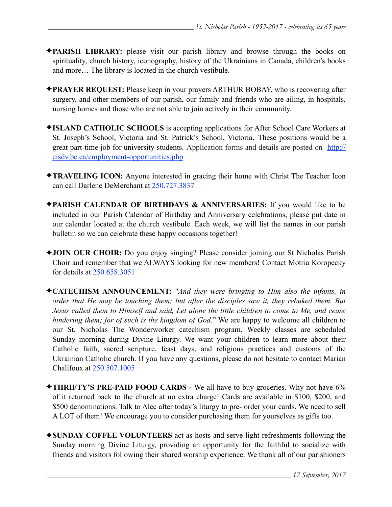- ✦**PARISH LIBRARY:** please visit our parish library and browse through the books on spirituality, church history, iconography, history of the Ukrainians in Canada, children's books and more… The library is located in the church vestibule.
- ✦**PRAYER REQUEST:** Please keep in your prayers ARTHUR BOBAY, who is recovering after surgery, and other members of our parish, our family and friends who are ailing, in hospitals, nursing homes and those who are not able to join actively in their community.
- ✦**ISLAND CATHOLIC SCHOOLS** is accepting applications for After School Care Workers at St. Joseph's School, Victoria and St. Patrick's School, Victoria. These positions would be a great part-time job for university students. Application forms and details are posted on [http://](http://cisdv.bc.ca/employment-opportunities.php) [cisdv.bc.ca/employment-opportunities.php](http://cisdv.bc.ca/employment-opportunities.php)
- ✦**TRAVELING ICON:** Anyone interested in gracing their home with Christ The Teacher Icon can call Darlene DeMerchant at 250.727.3837
- ✦**PARISH CALENDAR OF BIRTHDAYS & ANNIVERSARIES:** If you would like to be included in our Parish Calendar of Birthday and Anniversary celebrations, please put date in our calendar located at the church vestibule. Each week, we will list the names in our parish bulletin so we can celebrate these happy occasions together!
- ✦**JOIN OUR CHOIR:** Do you enjoy singing? Please consider joining our St Nicholas Parish Choir and remember that we ALWAYS looking for new members! Contact Motria Koropecky for details at 250.658.3051
- ✦**CATECHISM ANNOUNCEMENT:** "*And they were bringing to Him also the infants, in order that He may be touching them; but after the disciples saw it, they rebuked them. But Jesus called them to Himself and said, Let alone the little children to come to Me, and cease hindering them; for of such is the kingdom of God*." We are happy to welcome all children to our St. Nicholas The Wonderworker catechism program. Weekly classes are scheduled Sunday morning during Divine Liturgy. We want your children to learn more about their Catholic faith, sacred scripture, feast days, and religious practices and customs of the Ukrainian Catholic church. If you have any questions, please do not hesitate to contact Marian Chalifoux at 250.507.1005
- ✦**THRIFTY'S PRE-PAID FOOD CARDS** We all have to buy groceries. Why not have 6% of it returned back to the church at no extra charge! Cards are available in \$100, \$200, and \$500 denominations. Talk to Alec after today's liturgy to pre- order your cards. We need to sell A LOT of them! We encourage you to consider purchasing them for yourselves as gifts too.
- ✦**SUNDAY COFFEE VOLUNTEERS** act as hosts and serve light refreshments following the Sunday morning Divine Liturgy, providing an opportunity for the faithful to socialize with friends and visitors following their shared worship experience. We thank all of our parishioners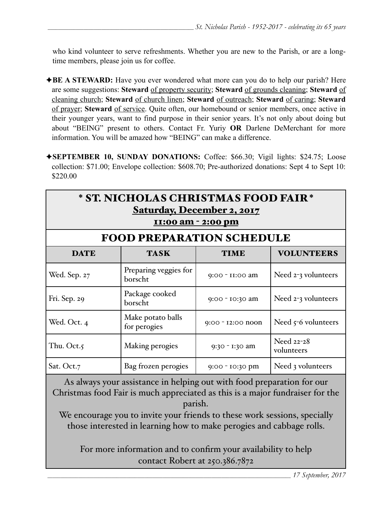who kind volunteer to serve refreshments. Whether you are new to the Parish, or are a longtime members, please join us for coffee.

- ✦**BE A STEWARD:** Have you ever wondered what more can you do to help our parish? Here are some suggestions: **Steward** of property security; **Steward** of grounds cleaning; **Steward** of cleaning church; **Steward** of church linen; **Steward** of outreach; **Steward** of caring; **Steward** of prayer; **Steward** of service. Quite often, our homebound or senior members, once active in their younger years, want to find purpose in their senior years. It's not only about doing but about "BEING" present to others. Contact Fr. Yuriy **OR** Darlene DeMerchant for more information. You will be amazed how "BEING" can make a difference.
- ✦**SEPTEMBER 10, SUNDAY DONATIONS:** Coffee: \$66.30; Vigil lights: \$24.75; Loose collection: \$71.00; Envelope collection: \$608.70; Pre-authorized donations: Sept 4 to Sept 10: \$220.00

| * ST. NICHOLAS CHRISTMAS FOOD FAIR *<br><b>Saturday, December 2, 2017</b><br>11:00 am - 2:00 pm |                                   |                   |                          |  |  |  |
|-------------------------------------------------------------------------------------------------|-----------------------------------|-------------------|--------------------------|--|--|--|
| <b>FOOD PREPARATION SCHEDULE</b>                                                                |                                   |                   |                          |  |  |  |
| <b>DATE</b>                                                                                     | <b>TASK</b>                       | <b>TIME</b>       | <b>VOLUNTEERS</b>        |  |  |  |
| Wed. Sep. 27                                                                                    | Preparing veggies for<br>borscht  | 9:00 - II:00 am   | Need $2-3$ volunteers    |  |  |  |
| Fri. Sep. 29                                                                                    | Package cooked<br>borscht         | 9:00 - 10:30 am   | Need $2-3$ volunteers    |  |  |  |
| Wed. Oct. 4                                                                                     | Make potato balls<br>for perogies | 9:00 - 12:00 noon | Need $5-6$ volunteers    |  |  |  |
| Thu. Oct.5                                                                                      | Making perogies                   | 9:30 - 1:30 am    | Need 22-28<br>volunteers |  |  |  |
| Sat. Oct.7                                                                                      | Bag frozen perogies               | 9:00 - 10:30 pm   | Need 3 volunteers        |  |  |  |

As always your assistance in helping out with food preparation for our Christmas food Fair is much appreciated as this is a major fundraiser for the parish.

We encourage you to invite your friends to these work sessions, specially those interested in learning how to make perogies and cabbage rolls.

For more information and to confirm your availability to help contact Robert at 250.386.7872